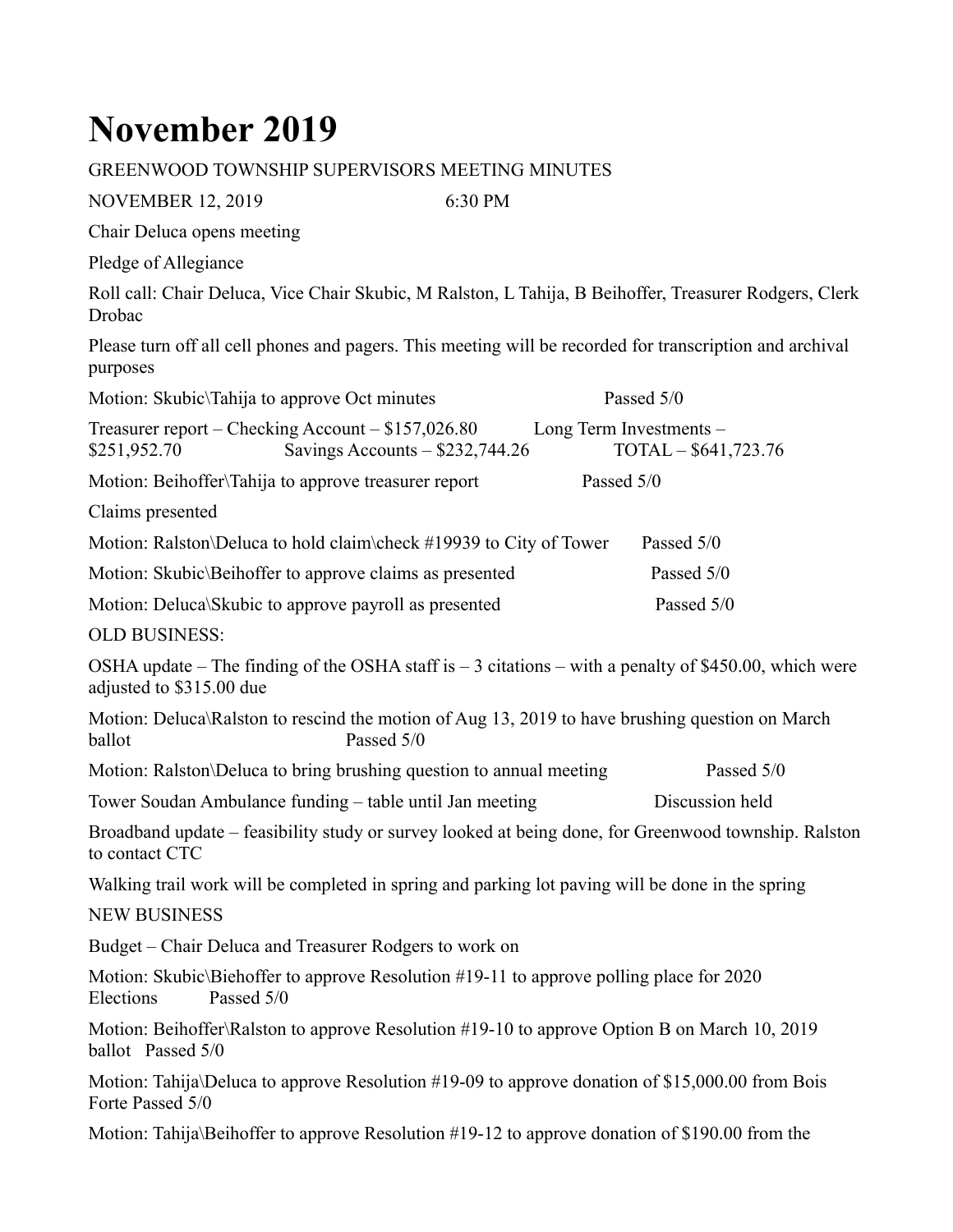## **November 2019**

## GREENWOOD TOWNSHIP SUPERVISORS MEETING MINUTES

NOVEMBER 12, 2019 6:30 PM Chair Deluca opens meeting Pledge of Allegiance Roll call: Chair Deluca, Vice Chair Skubic, M Ralston, L Tahija, B Beihoffer, Treasurer Rodgers, Clerk Drobac Please turn off all cell phones and pagers. This meeting will be recorded for transcription and archival purposes Motion: Skubic\Tahija to approve Oct minutes Passed 5/0 Treasurer report – Checking Account – \$157,026.80 Long Term Investments – \$251,952.70 Savings Accounts – \$232,744.26 TOTAL – \$641,723.76 Motion: Beihoffer\Tahija to approve treasurer report Passed 5/0 Claims presented Motion: Ralston\Deluca to hold claim\check #19939 to City of Tower Passed 5/0 Motion: Skubic\Beihoffer to approve claims as presented Passed 5/0 Motion: Deluca\Skubic to approve payroll as presented Passed 5/0 OLD BUSINESS: OSHA update – The finding of the OSHA staff is  $-3$  citations – with a penalty of \$450.00, which were adjusted to \$315.00 due Motion: Deluca\Ralston to rescind the motion of Aug 13, 2019 to have brushing question on March ballot Passed 5/0 Motion: Ralston\Deluca to bring brushing question to annual meeting Passed 5/0 Tower Soudan Ambulance funding – table until Jan meeting Discussion held Broadband update – feasibility study or survey looked at being done, for Greenwood township. Ralston to contact CTC Walking trail work will be completed in spring and parking lot paving will be done in the spring NEW BUSINESS Budget – Chair Deluca and Treasurer Rodgers to work on Motion: Skubic\Biehoffer to approve Resolution #19-11 to approve polling place for 2020 Elections Passed 5/0 Motion: Beihoffer\Ralston to approve Resolution #19-10 to approve Option B on March 10, 2019 ballot Passed 5/0 Motion: Tahija\Deluca to approve Resolution #19-09 to approve donation of \$15,000.00 from Bois Forte Passed 5/0 Motion: Tahija\Beihoffer to approve Resolution #19-12 to approve donation of \$190.00 from the